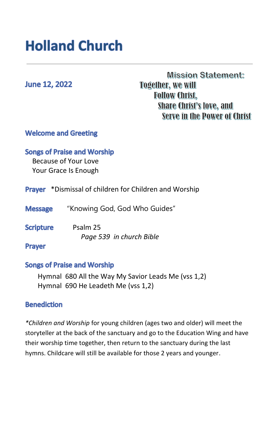# **Holland Church**

**June 12, 2022** 

**Mission Statement: Together, we will Follow Christ, Share Christ's love, and** Serve in the Power of Christ

# **Welcome and Greeting**

## **Songs of Praise and Worship**

 Because of Your Love Your Grace Is Enough

Prayer \*Dismissal of children for Children and Worship

 "Knowing God, God Who Guides" **Message** 

**Scripture** Psalm 25 *Page 539 in church Bible* 

#### **Prayer**

## **Songs of Praise and Worship**

Hymnal 680 All the Way My Savior Leads Me (vss 1,2) Hymnal 690 He Leadeth Me (vss 1,2)

## **Benediction**

*\*Children and Worship* for young children (ages two and older) will meet the storyteller at the back of the sanctuary and go to the Education Wing and have their worship time together, then return to the sanctuary during the last hymns. Childcare will still be available for those 2 years and younger.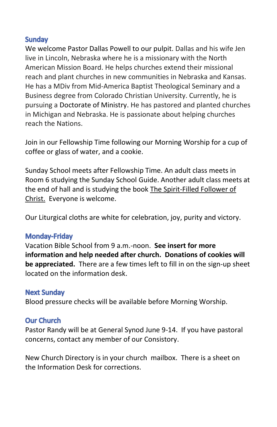# **Sundav**

We welcome Pastor Dallas Powell to our pulpit. Dallas and his wife Jen live in Lincoln, Nebraska where he is a missionary with the North American Mission Board. He helps churches extend their missional reach and plant churches in new communities in Nebraska and Kansas. He has a MDiv from Mid-America Baptist Theological Seminary and a Business degree from Colorado Christian University. Currently, he is pursuing a Doctorate of Ministry. He has pastored and planted churches in Michigan and Nebraska. He is passionate about helping churches reach the Nations.

Join in our Fellowship Time following our Morning Worship for a cup of coffee or glass of water, and a cookie.

Sunday School meets after Fellowship Time. An adult class meets in Room 6 studying the Sunday School Guide. Another adult class meets at the end of hall and is studying the book The Spirit-Filled Follower of Christ. Everyone is welcome.

Our Liturgical cloths are white for celebration, joy, purity and victory.

# **Monday-Friday**

Vacation Bible School from 9 a.m.-noon. **See insert for more information and help needed after church. Donations of cookies will be appreciated.** There are a few times left to fill in on the sign-up sheet located on the information desk.

# **Next Sunday**

Blood pressure checks will be available before Morning Worship.

## **Our Church**

Pastor Randy will be at General Synod June 9-14. If you have pastoral concerns, contact any member of our Consistory.

New Church Directory is in your church mailbox. There is a sheet on the Information Desk for corrections.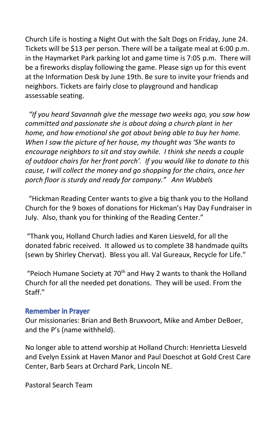Church Life is hosting a Night Out with the Salt Dogs on Friday, June 24. Tickets will be \$13 per person. There will be a tailgate meal at 6:00 p.m. in the Haymarket Park parking lot and game time is 7:05 p.m. There will be a fireworks display following the game. Please sign up for this event at the Information Desk by June 19th. Be sure to invite your friends and neighbors. Tickets are fairly close to playground and handicap assessable seating.

*"If you heard Savannah give the message two weeks ago, you saw how committed and passionate she is about doing a church plant in her home, and how emotional she got about being able to buy her home. When I saw the picture of her house, my thought was 'She wants to encourage neighbors to sit and stay awhile. I think she needs a couple of outdoor chairs for her front porch'. If you would like to donate to this cause, I will collect the money and go shopping for the chairs, once her porch floor is sturdy and ready for company." Ann Wubbels*

"Hickman Reading Center wants to give a big thank you to the Holland Church for the 9 boxes of donations for Hickman's Hay Day Fundraiser in July. Also, thank you for thinking of the Reading Center."

"Thank you, Holland Church ladies and Karen Liesveld, for all the donated fabric received. It allowed us to complete 38 handmade quilts (sewn by Shirley Chervat). Bless you all. Val Gureaux, Recycle for Life."

"Peioch Humane Society at  $70<sup>th</sup>$  and Hwy 2 wants to thank the Holland Church for all the needed pet donations. They will be used. From the Staff."

## **Remember in Prayer**

Our missionaries: Brian and Beth Bruxvoort, Mike and Amber DeBoer, and the P's (name withheld).

No longer able to attend worship at Holland Church: Henrietta Liesveld and Evelyn Essink at Haven Manor and Paul Doeschot at Gold Crest Care Center, Barb Sears at Orchard Park, Lincoln NE.

Pastoral Search Team